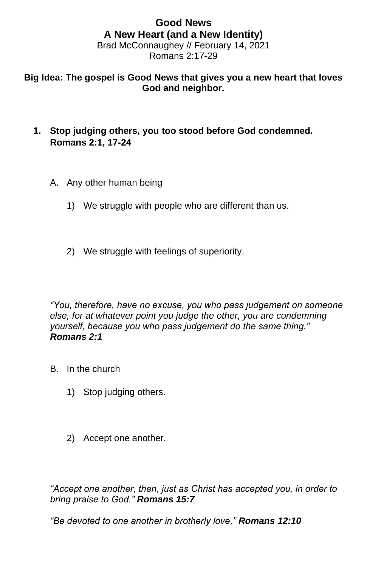#### **Good News A New Heart (and a New Identity)** Brad McConnaughey // February 14, 2021 Romans 2:17-29

# **Big Idea: The gospel is Good News that gives you a new heart that loves God and neighbor.**

- **1. Stop judging others, you too stood before God condemned. Romans 2:1, 17-24**
	- A. Any other human being
		- 1) We struggle with people who are different than us.
		- 2) We struggle with feelings of superiority.

*"You, therefore, have no excuse, you who pass judgement on someone else, for at whatever point you judge the other, you are condemning yourself, because you who pass judgement do the same thing." Romans 2:1* 

- B. In the church
	- 1) Stop judging others.
	- 2) Accept one another.

*"Accept one another, then, just as Christ has accepted you, in order to bring praise to God." Romans 15:7*

*"Be devoted to one another in brotherly love." Romans 12:10*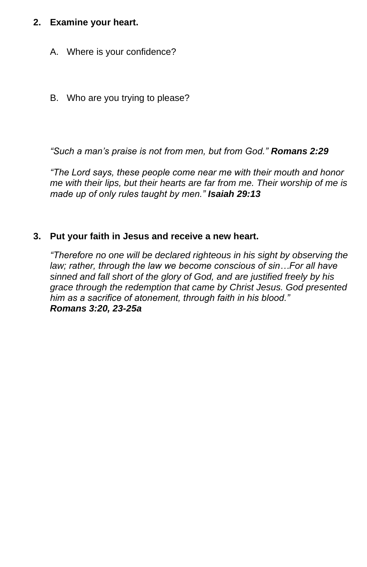# **2. Examine your heart.**

- A. Where is your confidence?
- B. Who are you trying to please?

*"Such a man's praise is not from men, but from God." Romans 2:29*

*"The Lord says, these people come near me with their mouth and honor me with their lips, but their hearts are far from me. Their worship of me is made up of only rules taught by men." Isaiah 29:13*

# **3. Put your faith in Jesus and receive a new heart.**

*"Therefore no one will be declared righteous in his sight by observing the law; rather, through the law we become conscious of sin…For all have sinned and fall short of the glory of God, and are justified freely by his grace through the redemption that came by Christ Jesus. God presented him as a sacrifice of atonement, through faith in his blood." Romans 3:20, 23-25a*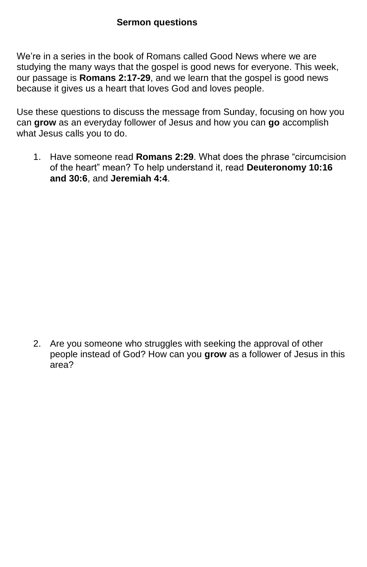#### **Sermon questions**

We're in a series in the book of Romans called Good News where we are studying the many ways that the gospel is good news for everyone. This week, our passage is **Romans 2:17-29**, and we learn that the gospel is good news because it gives us a heart that loves God and loves people.

Use these questions to discuss the message from Sunday, focusing on how you can **grow** as an everyday follower of Jesus and how you can **go** accomplish what Jesus calls you to do.

1. Have someone read **Romans 2:29**. What does the phrase "circumcision of the heart" mean? To help understand it, read **Deuteronomy 10:16 and 30:6**, and **Jeremiah 4:4**.

2. Are you someone who struggles with seeking the approval of other people instead of God? How can you **grow** as a follower of Jesus in this area?